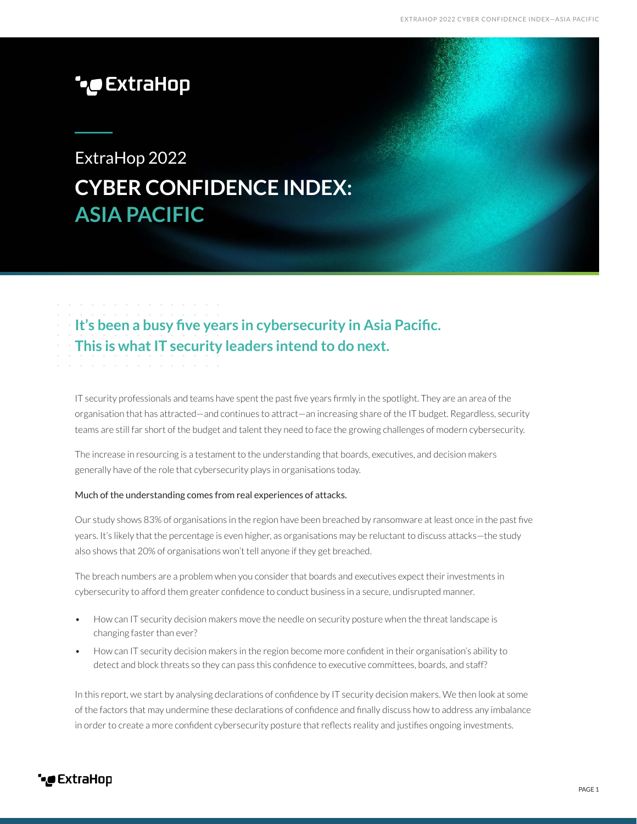# **\****e* ExtraHop

# ExtraHop 2022 **CYBER CONFIDENCE INDEX: ASIA PACIFIC**

## **It's been a busy five years in cybersecurity in Asia Pacific. This is what IT security leaders intend to do next.**

IT security professionals and teams have spent the past five years firmly in the spotlight. They are an area of the organisation that has attracted—and continues to attract—an increasing share of the IT budget. Regardless, security teams are still far short of the budget and talent they need to face the growing challenges of modern cybersecurity.

The increase in resourcing is a testament to the understanding that boards, executives, and decision makers generally have of the role that cybersecurity plays in organisations today.

#### Much of the understanding comes from real experiences of attacks.

Our study shows 83% of organisations in the region have been breached by ransomware at least once in the past five years. It's likely that the percentage is even higher, as organisations may be reluctant to discuss attacks—the study also shows that 20% of organisations won't tell anyone if they get breached.

The breach numbers are a problem when you consider that boards and executives expect their investments in cybersecurity to afford them greater confidence to conduct business in a secure, undisrupted manner.

- How can IT security decision makers move the needle on security posture when the threat landscape is changing faster than ever?
- How can IT security decision makers in the region become more confident in their organisation's ability to detect and block threats so they can pass this confidence to executive committees, boards, and staff?

In this report, we start by analysing declarations of confidence by IT security decision makers. We then look at some of the factors that may undermine these declarations of confidence and finally discuss how to address any imbalance in order to create a more confident cybersecurity posture that reflects reality and justifies ongoing investments.

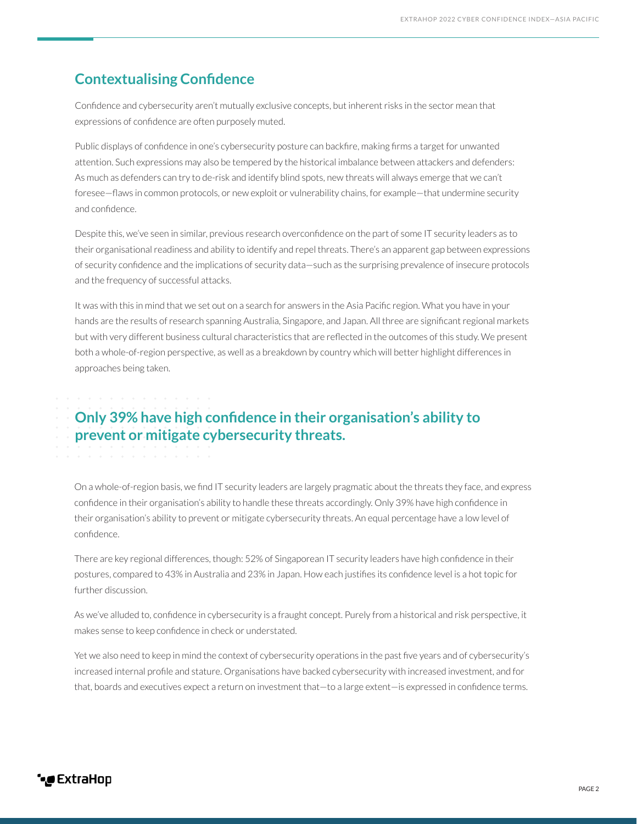### **Contextualising Confidence**

Confidence and cybersecurity aren't mutually exclusive concepts, but inherent risks in the sector mean that expressions of confidence are often purposely muted.

Public displays of confidence in one's cybersecurity posture can backfire, making firms a target for unwanted attention. Such expressions may also be tempered by the historical imbalance between attackers and defenders: As much as defenders can try to de-risk and identify blind spots, new threats will always emerge that we can't foresee—flaws in common protocols, or new exploit or vulnerability chains, for example—that undermine security and confidence.

Despite this, we've seen in similar, previous research overconfidence on the part of some IT security leaders as to their organisational readiness and ability to identify and repel threats. There's an apparent gap between expressions of security confidence and the implications of security data—such as the surprising prevalence of insecure protocols and the frequency of successful attacks.

It was with this in mind that we set out on a search for answers in the Asia Pacific region. What you have in your hands are the results of research spanning Australia, Singapore, and Japan. All three are significant regional markets but with very different business cultural characteristics that are reflected in the outcomes of this study. We present both a whole-of-region perspective, as well as a breakdown by country which will better highlight differences in approaches being taken.

## **Only 39% have high confidence in their organisation's ability to prevent or mitigate cybersecurity threats.**

On a whole-of-region basis, we find IT security leaders are largely pragmatic about the threats they face, and express confidence in their organisation's ability to handle these threats accordingly. Only 39% have high confidence in their organisation's ability to prevent or mitigate cybersecurity threats. An equal percentage have a low level of confidence.

There are key regional differences, though: 52% of Singaporean IT security leaders have high confidence in their postures, compared to 43% in Australia and 23% in Japan. How each justifies its confidence level is a hot topic for further discussion.

As we've alluded to, confidence in cybersecurity is a fraught concept. Purely from a historical and risk perspective, it makes sense to keep confidence in check or understated.

Yet we also need to keep in mind the context of cybersecurity operations in the past five years and of cybersecurity's increased internal profile and stature. Organisations have backed cybersecurity with increased investment, and for that, boards and executives expect a return on investment that—to a large extent—is expressed in confidence terms.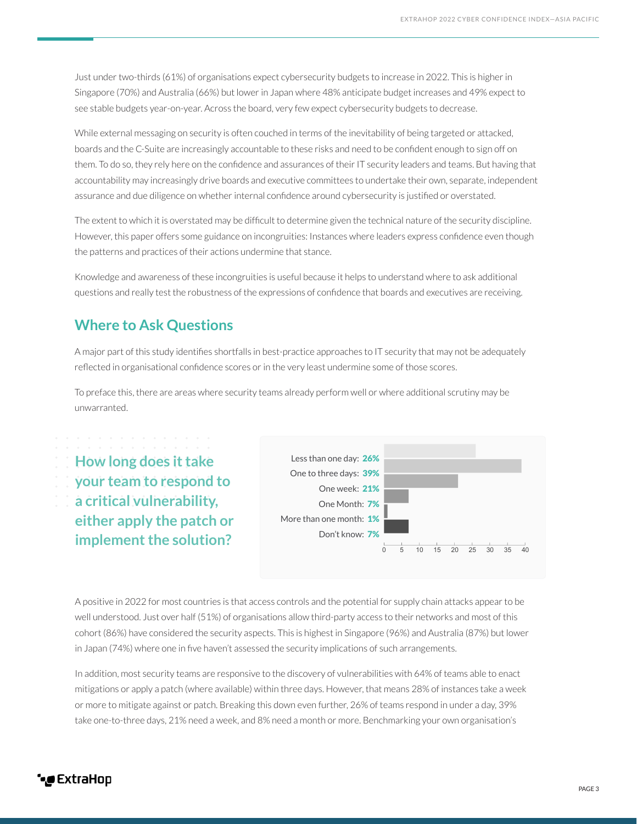Just under two-thirds (61%) of organisations expect cybersecurity budgets to increase in 2022. This is higher in Singapore (70%) and Australia (66%) but lower in Japan where 48% anticipate budget increases and 49% expect to see stable budgets year-on-year. Across the board, very few expect cybersecurity budgets to decrease.

While external messaging on security is often couched in terms of the inevitability of being targeted or attacked, boards and the C-Suite are increasingly accountable to these risks and need to be confident enough to sign off on them. To do so, they rely here on the confidence and assurances of their IT security leaders and teams. But having that accountability may increasingly drive boards and executive committees to undertake their own, separate, independent assurance and due diligence on whether internal confidence around cybersecurity is justified or overstated.

The extent to which it is overstated may be difficult to determine given the technical nature of the security discipline. However, this paper offers some guidance on incongruities: Instances where leaders express confidence even though the patterns and practices of their actions undermine that stance.

Knowledge and awareness of these incongruities is useful because it helps to understand where to ask additional questions and really test the robustness of the expressions of confidence that boards and executives are receiving.

## **Where to Ask Questions**

A major part of this study identifies shortfalls in best-practice approaches to IT security that may not be adequately reflected in organisational confidence scores or in the very least undermine some of those scores.

To preface this, there are areas where security teams already perform well or where additional scrutiny may be unwarranted.



A positive in 2022 for most countries is that access controls and the potential for supply chain attacks appear to be well understood. Just over half (51%) of organisations allow third-party access to their networks and most of this cohort (86%) have considered the security aspects. This is highest in Singapore (96%) and Australia (87%) but lower in Japan (74%) where one in five haven't assessed the security implications of such arrangements.

In addition, most security teams are responsive to the discovery of vulnerabilities with 64% of teams able to enact mitigations or apply a patch (where available) within three days. However, that means 28% of instances take a week or more to mitigate against or patch. Breaking this down even further, 26% of teams respond in under a day, 39% take one-to-three days, 21% need a week, and 8% need a month or more. Benchmarking your own organisation's

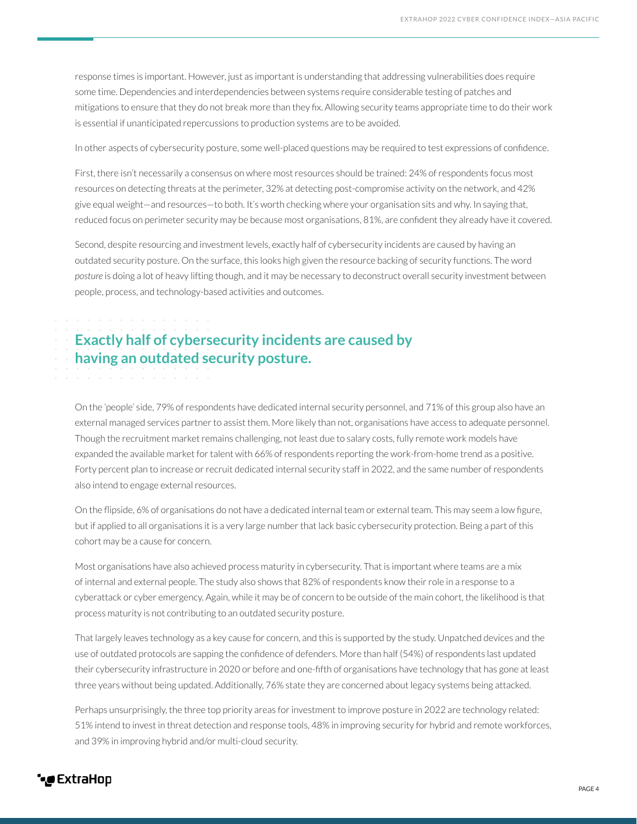response times is important. However, just as important is understanding that addressing vulnerabilities does require some time. Dependencies and interdependencies between systems require considerable testing of patches and mitigations to ensure that they do not break more than they fix. Allowing security teams appropriate time to do their work is essential if unanticipated repercussions to production systems are to be avoided.

In other aspects of cybersecurity posture, some well-placed questions may be required to test expressions of confidence.

First, there isn't necessarily a consensus on where most resources should be trained: 24% of respondents focus most resources on detecting threats at the perimeter, 32% at detecting post-compromise activity on the network, and 42% give equal weight—and resources—to both. It's worth checking where your organisation sits and why. In saying that, reduced focus on perimeter security may be because most organisations, 81%, are confident they already have it covered.

Second, despite resourcing and investment levels, exactly half of cybersecurity incidents are caused by having an outdated security posture. On the surface, this looks high given the resource backing of security functions. The word *posture* is doing a lot of heavy lifting though, and it may be necessary to deconstruct overall security investment between people, process, and technology-based activities and outcomes.

## **Exactly half of cybersecurity incidents are caused by having an outdated security posture.**

On the 'people' side, 79% of respondents have dedicated internal security personnel, and 71% of this group also have an external managed services partner to assist them. More likely than not, organisations have access to adequate personnel. Though the recruitment market remains challenging, not least due to salary costs, fully remote work models have expanded the available market for talent with 66% of respondents reporting the work-from-home trend as a positive. Forty percent plan to increase or recruit dedicated internal security staff in 2022, and the same number of respondents also intend to engage external resources.

On the flipside, 6% of organisations do not have a dedicated internal team or external team. This may seem a low figure, but if applied to all organisations it is a very large number that lack basic cybersecurity protection. Being a part of this cohort may be a cause for concern.

Most organisations have also achieved process maturity in cybersecurity. That is important where teams are a mix of internal and external people. The study also shows that 82% of respondents know their role in a response to a cyberattack or cyber emergency. Again, while it may be of concern to be outside of the main cohort, the likelihood is that process maturity is not contributing to an outdated security posture.

That largely leaves technology as a key cause for concern, and this is supported by the study. Unpatched devices and the use of outdated protocols are sapping the confidence of defenders. More than half (54%) of respondents last updated their cybersecurity infrastructure in 2020 or before and one-fifth of organisations have technology that has gone at least three years without being updated. Additionally, 76% state they are concerned about legacy systems being attacked.

Perhaps unsurprisingly, the three top priority areas for investment to improve posture in 2022 are technology related: 51% intend to invest in threat detection and response tools, 48% in improving security for hybrid and remote workforces, and 39% in improving hybrid and/or multi-cloud security.

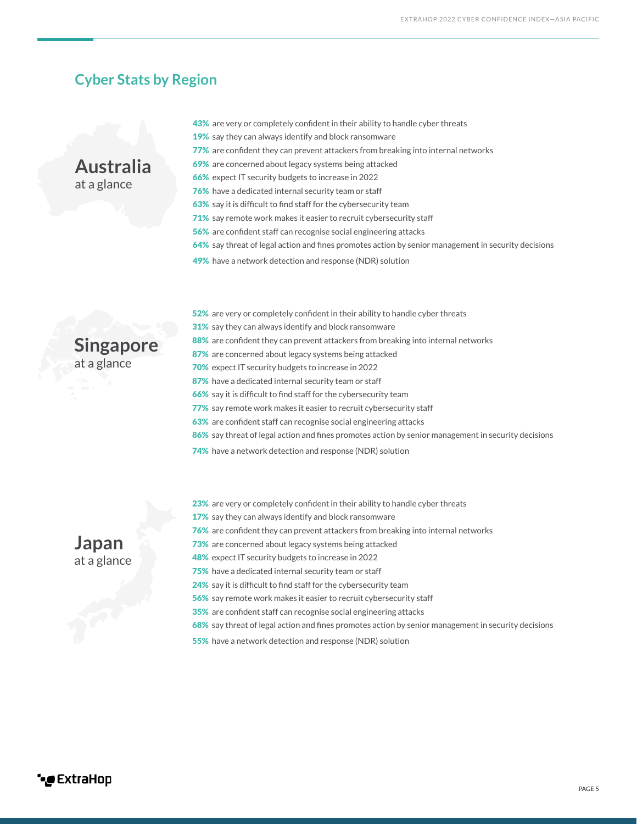#### **Cyber Stats by Region**



- 43% are very or completely confident in their ability to handle cyber threats 19% say they can always identify and block ransomware 77% are confident they can prevent attackers from breaking into internal networks 69% are concerned about legacy systems being attacked 66% expect IT security budgets to increase in 2022 **76%** have a dedicated internal security team or staff 63% say it is difficult to find staff for the cybersecurity team
- 71% say remote work makes it easier to recruit cybersecurity staff
- 56% are confident staff can recognise social engineering attacks
- 64% say threat of legal action and fines promotes action by senior management in security decisions
- 49% have a network detection and response (NDR) solution



- 52% are very or completely confident in their ability to handle cyber threats 31% say they can always identify and block ransomware 88% are confident they can prevent attackers from breaking into internal networks 87% are concerned about legacy systems being attacked 70% expect IT security budgets to increase in 2022 87% have a dedicated internal security team or staff 66% say it is difficult to find staff for the cybersecurity team 77% say remote work makes it easier to recruit cybersecurity staff 63% are confident staff can recognise social engineering attacks 86% say threat of legal action and fines promotes action by senior management in security decisions
- 74% have a network detection and response (NDR) solution

- **Japan** at a glance
- 23% are very or completely confident in their ability to handle cyber threats
- 17% say they can always identify and block ransomware
- 76% are confident they can prevent attackers from breaking into internal networks
- 73% are concerned about legacy systems being attacked
- 48% expect IT security budgets to increase in 2022
- 75% have a dedicated internal security team or staff
- 24% say it is difficult to find staff for the cybersecurity team
- 56% say remote work makes it easier to recruit cybersecurity staff
- 35% are confident staff can recognise social engineering attacks
	- 68% say threat of legal action and fines promotes action by senior management in security decisions
	- 55% have a network detection and response (NDR) solution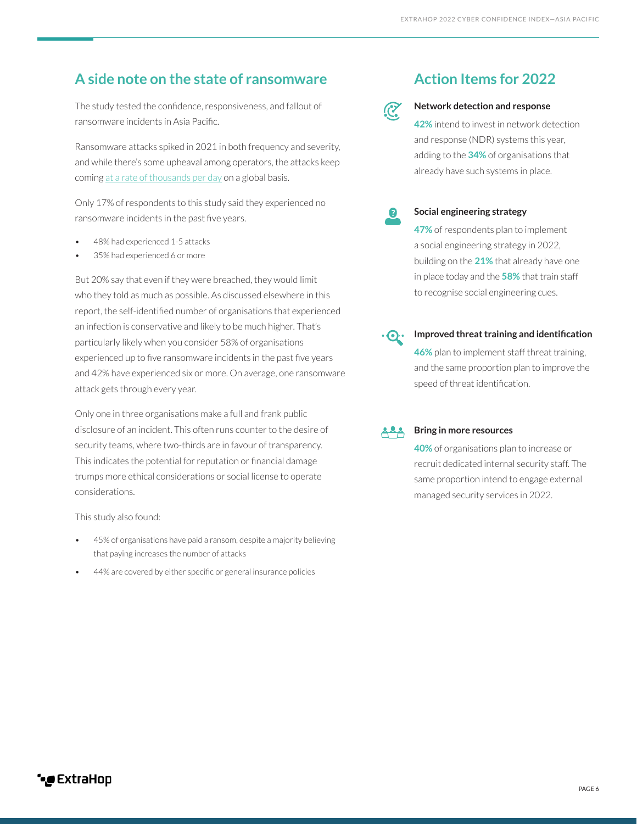## A side note on the state of ransomware **Action Items for 2022**

The study tested the confidence, responsiveness, and fallout of ransomware incidents in Asia Pacific.

Ransomware attacks spiked in 2021 in both frequency and severity, and while there's some upheaval among operators, the attacks keep coming [at a rate of thousands per day](https://www.extrahop.com/resources/learning/ransomware-retrospective/) on a global basis.

Only 17% of respondents to this study said they experienced no ransomware incidents in the past five years.

- 48% had experienced 1-5 attacks
- 35% had experienced 6 or more

But 20% say that even if they were breached, they would limit who they told as much as possible. As discussed elsewhere in this report, the self-identified number of organisations that experienced an infection is conservative and likely to be much higher. That's particularly likely when you consider 58% of organisations experienced up to five ransomware incidents in the past five years and 42% have experienced six or more. On average, one ransomware attack gets through every year.

Only one in three organisations make a full and frank public disclosure of an incident. This often runs counter to the desire of security teams, where two-thirds are in favour of transparency. This indicates the potential for reputation or financial damage trumps more ethical considerations or social license to operate considerations.

This study also found:

- 45% of organisations have paid a ransom, despite a majority believing that paying increases the number of attacks
- 44% are covered by either specific or general insurance policies



#### **Network detection and response**

**42%** intend to invest in network detection and response (NDR) systems this year, adding to the **34%** of organisations that already have such systems in place.



#### **Social engineering strategy**

**47%** of respondents plan to implement a social engineering strategy in 2022, building on the **21%** that already have one in place today and the **58%** that train staff to recognise social engineering cues.



#### **Improved threat training and identification**

**46%** plan to implement staff threat training, and the same proportion plan to improve the speed of threat identification.

#### **Bring in more resources**

**40%** of organisations plan to increase or recruit dedicated internal security staff. The same proportion intend to engage external managed security services in 2022.